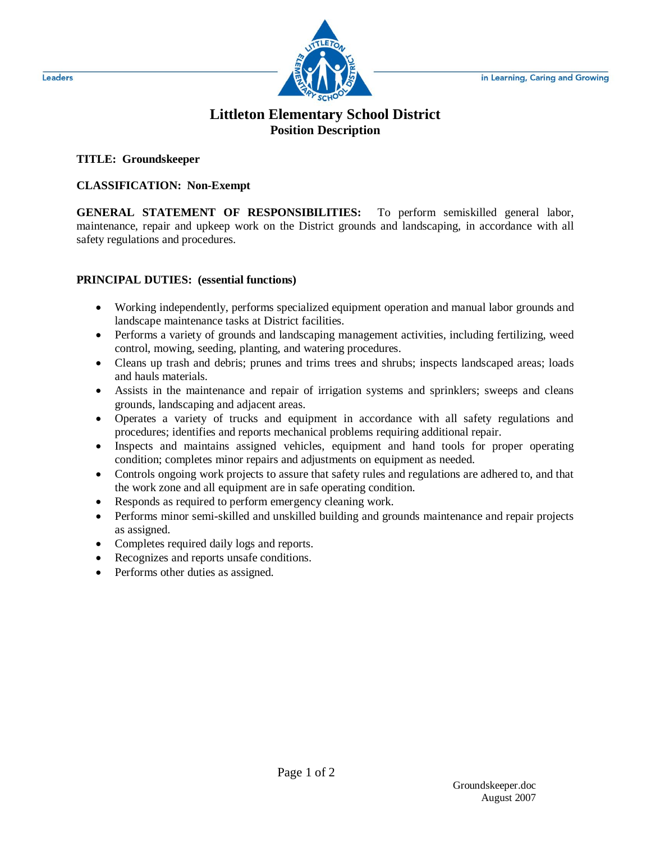

# **Littleton Elementary School District Position Description**

### **TITLE: Groundskeeper**

### **CLASSIFICATION: Non-Exempt**

**GENERAL STATEMENT OF RESPONSIBILITIES:** To perform semiskilled general labor, maintenance, repair and upkeep work on the District grounds and landscaping, in accordance with all safety regulations and procedures.

### **PRINCIPAL DUTIES: (essential functions)**

- Working independently, performs specialized equipment operation and manual labor grounds and landscape maintenance tasks at District facilities.
- Performs a variety of grounds and landscaping management activities, including fertilizing, weed control, mowing, seeding, planting, and watering procedures.
- Cleans up trash and debris; prunes and trims trees and shrubs; inspects landscaped areas; loads and hauls materials.
- Assists in the maintenance and repair of irrigation systems and sprinklers; sweeps and cleans grounds, landscaping and adjacent areas.
- Operates a variety of trucks and equipment in accordance with all safety regulations and procedures; identifies and reports mechanical problems requiring additional repair.
- Inspects and maintains assigned vehicles, equipment and hand tools for proper operating condition; completes minor repairs and adjustments on equipment as needed.
- Controls ongoing work projects to assure that safety rules and regulations are adhered to, and that the work zone and all equipment are in safe operating condition.
- Responds as required to perform emergency cleaning work.
- Performs minor semi-skilled and unskilled building and grounds maintenance and repair projects as assigned.
- Completes required daily logs and reports.
- Recognizes and reports unsafe conditions.
- Performs other duties as assigned.

Leaders